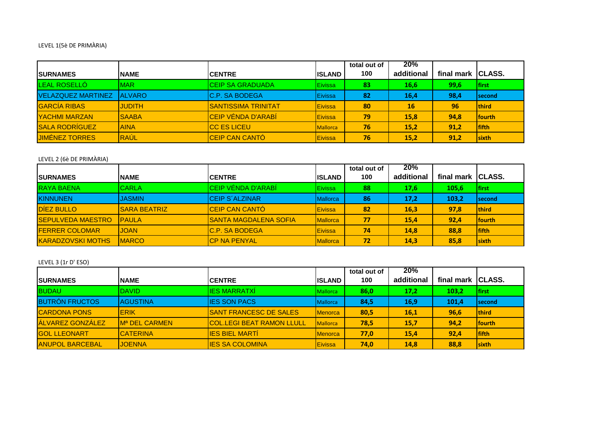## LEVEL 1(5è DE PRIMÀRIA)

| <b>ISURNAMES</b>          | INAME         | <b>ICENTRE</b>              | <b>IISLAND</b>  | total out of<br>100 | 20%<br>additional | final mark | <b>CLASS.</b>  |
|---------------------------|---------------|-----------------------------|-----------------|---------------------|-------------------|------------|----------------|
| <b>LEAL ROSELLO</b>       | MAR.          | <b>CEIP SA GRADUADA</b>     | Eivissa         | 83                  | 16,6              | 99,6       | lfirst         |
| <b>VELAZQUEZ MARTINEZ</b> | <b>ALVARO</b> | <b>IC.P. SA BODEGA</b>      | <b>Eivissa</b>  | 82                  | 16,4              | 98,4       | <b>Isecond</b> |
| <b>GARCÍA RIBAS</b>       | <b>JUDITH</b> | <b>ISANTISSIMA TRINITAT</b> | Eivissa         | 80                  | <b>16</b>         | 96         | <b>Ithird</b>  |
| <b>YACHMI MARZAN</b>      | <b>SAABA</b>  | <b>ICEIP VÉNDA D'ARABÍ</b>  | Eivissa         | 79                  | 15,8              | 94,8       | <b>Ifourth</b> |
| <b>SALA RODRÍGUEZ</b>     | <b>AINA</b>   | <b>ICC ES LICEU</b>         | <b>Mallorca</b> | 76                  | 15,2              | 91,2       | <b>Ififth</b>  |
| <b>JIMENEZ TORRES</b>     | RAÚL          | <b>CEIP CAN CANTÓ</b>       | Eivissa         | 76                  | 15,2              | 91,2       | <b>Isixth</b>  |

### LEVEL 2 (6è DE PRIMÀRIA)

| <b>ISURNAMES</b>         | <b>NAME</b>         | <b>ICENTRE</b>                | <b>IISLAND</b>  | total out of<br>100 | 20%<br>additional | final mark | <b>CLASS.</b>  |
|--------------------------|---------------------|-------------------------------|-----------------|---------------------|-------------------|------------|----------------|
| <b>RAYA BAENA</b>        | <b>CARLA</b>        | CEIP VÉNDA D'ARABI            | Eivissa         | 88                  | 17,6              | 105,6      | lfirst         |
| <b>KINNUNEN</b>          | <b>JASMIN</b>       | <b>ICEIP S'ALZINAR</b>        | <b>Mallorca</b> | 86                  | 17,2              | 103,2      | lsecond        |
| <b>DIEZ BULLO</b>        | <b>SARA BEATRIZ</b> | CEIP CAN CANTÓ                | Eivissa         | 82                  | <b>16,3</b>       | 97,8       | <b>Ithird</b>  |
| <b>SEPULVEDA MAESTRO</b> | <b>PAULA</b>        | <b>ISANTA MAGDALENA SOFIA</b> | <b>Mallorca</b> | 77                  | 15,4              | 92,4       | <b>Ifourth</b> |
| <b>FERRER COLOMAR</b>    | <b>JOAN</b>         | <b>IC.P. SA BODEGA</b>        | Eivissa         | 74                  | 14,8              | 88,8       | <b>Ififth</b>  |
| <b>KARADZOVSKI MOTHS</b> | <b>MARCO</b>        | <b>ICP NA PENYAL</b>          | <b>Mallorca</b> | 72                  | 14,3              | 85,8       | <b>Isixth</b>  |

## LEVEL 3 (1r D' ESO)

|                         |                                  |                                  |                 | total out of | 20%        |                   |               |
|-------------------------|----------------------------------|----------------------------------|-----------------|--------------|------------|-------------------|---------------|
| <b>ISURNAMES</b>        | <b>NAME</b>                      | <b>ICENTRE</b>                   | <b>IISLAND</b>  | 100          | additional | final mark CLASS. |               |
| <b>BUDAU</b>            | <b>DAVID</b>                     | <b>IES MARRATXI</b>              | <b>Mallorca</b> | 86,0         | 17,2       | 103,2             | <b>Ifirst</b> |
| <b>BUTRÓN FRUCTOS</b>   | <b>AGUSTINA</b>                  | <b>IIES SON PACS</b>             | <b>Mallorca</b> | 84,5         | 16,9       | 101,4             | <b>second</b> |
| <b>CARDONA PONS</b>     | <b>IERIK</b>                     | <b>ISANT FRANCESC DE SALES</b>   | <b>Menorca</b>  | 80,5         | 16,1       | 96,6              | <b>third</b>  |
| <b>ALVAREZ GONZÁLEZ</b> | <b>IM<sup>a</sup> DEL CARMEN</b> | <b>COL.LEGI BEAT RAMON LLULL</b> | <b>Mallorca</b> | 78,5         | 15,7       | 94,2              | <b>fourth</b> |
| <b>GOL LLEONART</b>     | <b>ICATERINA</b>                 | <b>IES BIEL MARTI</b>            | <b>Menorca</b>  | 77,0         | 15,4       | 92,4              | <b>Ififth</b> |
| <b>ANUPOL BARCEBAL</b>  | <b>JOENNA</b>                    | <b>IES SA COLOMINA</b>           | Eivissa         | 74,0         | 14,8       | 88,8              | <b>sixth</b>  |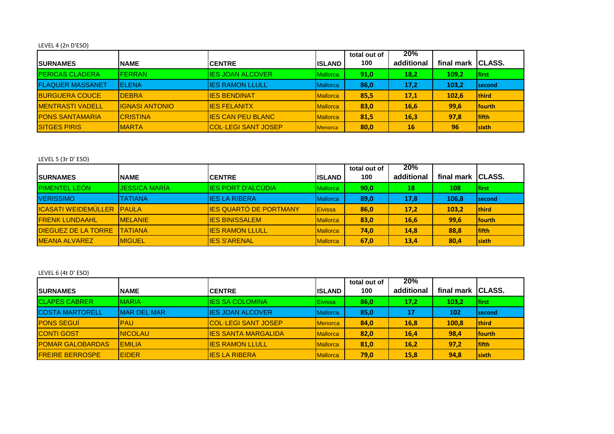# LEVEL 4 (2n D'ESO)

|                         |                        |                            |                 | total out of | 20%        |              |                |
|-------------------------|------------------------|----------------------------|-----------------|--------------|------------|--------------|----------------|
| <b>SURNAMES</b>         | <b>NAME</b>            | <b>ICENTRE</b>             | <b>IISLAND</b>  | 100          | additional | final mark   | <b>CLASS.</b>  |
| <b>IPERICAS CLADERA</b> | <b>FERRAN</b>          | <b>IES JOAN ALCOVER</b>    | <b>Mallorca</b> | 91.0         | 18,2       | 109.2        | <b>Ifirst</b>  |
| <b>FLAQUER MASSANET</b> | IELENA                 | <b>IIES RAMON LLULL</b>    | <b>Mallorca</b> | 86,0         | 17,2       | 103,2        | <b>Second</b>  |
| <b>BURGUERA COUCE</b>   | <b>IDEBRA</b>          | <b>IIES BENDINAT</b>       | <b>Mallorca</b> | 85,5         | 17,1       | <b>102,6</b> | <b>third</b>   |
| <b>MENTRASTI VADELL</b> | <b>IIGNASI ANTONIO</b> | <b>IES FELANITX</b>        | <b>Mallorca</b> | 83,0         | 16,6       | 99,6         | <b>Ifourth</b> |
| <b>PONS SANTAMARIA</b>  | <b>ICRISTINA</b>       | <b>IES CAN PEU BLANC</b>   | <b>Mallorca</b> | 81,5         | 16,3       | 97,8         | <b>lfifth</b>  |
| <b>SITGES PIRIS</b>     | <b>IMARTA</b>          | <b>COL·LEGI SANT JOSEP</b> | <b>Menorca</b>  | 80,0         | 16         | 96           | <b>Isixth</b>  |

#### LEVEL 5 (3r D' ESO)

|                                  |                 |                               |                 | total out of | 20%        |            |                |
|----------------------------------|-----------------|-------------------------------|-----------------|--------------|------------|------------|----------------|
| <b>SURNAMES</b>                  | <b>NAME</b>     | <b>ICENTRE</b>                | <b>IISLAND</b>  | 100          | additional | final mark | <b>ICLASS.</b> |
| <b>PIMENTEL LEÓN</b>             | JESSICA MARÍA   | <b>IES PORT D'ALCUDIA</b>     | <b>Mallorca</b> | 90,0         | 18         | 108        | <b>Ifirst</b>  |
| <b>VERISSIMO</b>                 | <b>TATIANA</b>  | <b>IES LA RIBERA</b>          | <b>Mallorca</b> | 89,0         | 17,8       | 106,8      | <b>Second</b>  |
| <b>ICASATI WEIDEMÜLLER PAULA</b> |                 | <b>IES QUARTÓ DE PORTMANY</b> | <b>IEivissa</b> | 86,0         | 17,2       | 103,2      | <b>Ithird</b>  |
| <b>FRENK LUNDAAHL</b>            | <b>IMELANIE</b> | <b>IES BINISSALEM</b>         | <b>Mallorca</b> | 83,0         | 16,6       | 99,6       | <b>fourth</b>  |
| <b>DIEGUEZ DE LA TORRE</b>       | <b>TATIANA</b>  | <b>IES RAMON LLULL</b>        | <b>Mallorca</b> | 74,0         | 14,8       | 88,8       | <b>Ififth</b>  |
| <b>MEANA ALVAREZ</b>             | <b>IMIGUEL</b>  | <b>IES S'ARENAL</b>           | <b>Mallorca</b> | 67,0         | 13,4       | 80,4       | <b>sixth</b>   |

## LEVEL 6 (4t D' ESO)

|                         |                     |                             |                 | total out of | 20%        |                    |                |
|-------------------------|---------------------|-----------------------------|-----------------|--------------|------------|--------------------|----------------|
| <b>ISURNAMES</b>        | <b>NAME</b>         | <b>ICENTRE</b>              | lisland         | 100          | additional | final mark ICLASS. |                |
| <b>CLAPES CABRER</b>    | <b>MARIA</b>        | <b>IES SA COLOMINA</b>      | Eivissa         | 86,0         | 17,2       | 103,2              | <b>Ifirst</b>  |
| <b>COSTA MARTORELL</b>  | <b>IMAR DEL MAR</b> | <b>IES JOAN ALCOVER</b>     | <b>Mallorca</b> | 85,0         | 17         | 102                | Isecond        |
| <b>PONS SEGUI</b>       | <b>IPAU</b>         | <b>ICOL·LEGI SANT JOSEP</b> | <b>Menorca</b>  | 84,0         | 16,8       | 100.8              | <b>Ithird</b>  |
| <b>CONTI GOST</b>       | <b>INICOLAU</b>     | <b>IES SANTA MARGALIDA</b>  | <b>Mallorca</b> | 82,0         | 16,4       | 98,4               | <b>Ifourth</b> |
| <b>POMAR GALOBARDAS</b> | <b>IEMILIA</b>      | <b>IES RAMON LLULL</b>      | <b>Mallorca</b> | 81,0         | 16,2       | 97,2               | <b>Ififth</b>  |
| <b>FREIRE BERROSPE</b>  | <b>IEIDER</b>       | <b>IES LA RIBERA</b>        | <b>Mallorca</b> | 79,0         | 15,8       | 94,8               | <u>lsixth</u>  |